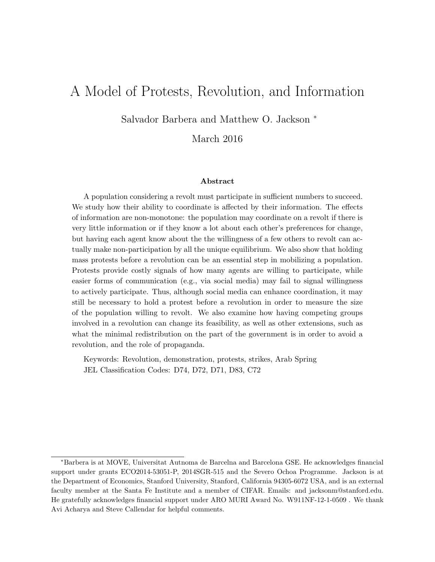# A Model of Protests, Revolution, and Information

Salvador Barbera and Matthew O. Jackson <sup>∗</sup>

March 2016

#### Abstract

A population considering a revolt must participate in sufficient numbers to succeed. We study how their ability to coordinate is affected by their information. The effects of information are non-monotone: the population may coordinate on a revolt if there is very little information or if they know a lot about each other's preferences for change, but having each agent know about the the willingness of a few others to revolt can actually make non-participation by all the unique equilibrium. We also show that holding mass protests before a revolution can be an essential step in mobilizing a population. Protests provide costly signals of how many agents are willing to participate, while easier forms of communication (e.g., via social media) may fail to signal willingness to actively participate. Thus, although social media can enhance coordination, it may still be necessary to hold a protest before a revolution in order to measure the size of the population willing to revolt. We also examine how having competing groups involved in a revolution can change its feasibility, as well as other extensions, such as what the minimal redistribution on the part of the government is in order to avoid a revolution, and the role of propaganda.

Keywords: Revolution, demonstration, protests, strikes, Arab Spring JEL Classification Codes: D74, D72, D71, D83, C72

<sup>∗</sup>Barbera is at MOVE, Universitat Autnoma de Barcelna and Barcelona GSE. He acknowledges financial support under grants ECO2014-53051-P, 2014SGR-515 and the Severo Ochoa Programme. Jackson is at the Department of Economics, Stanford University, Stanford, California 94305-6072 USA, and is an external faculty member at the Santa Fe Institute and a member of CIFAR. Emails: and jacksonm@stanford.edu. He gratefully acknowledges financial support under ARO MURI Award No. W911NF-12-1-0509 . We thank Avi Acharya and Steve Callendar for helpful comments.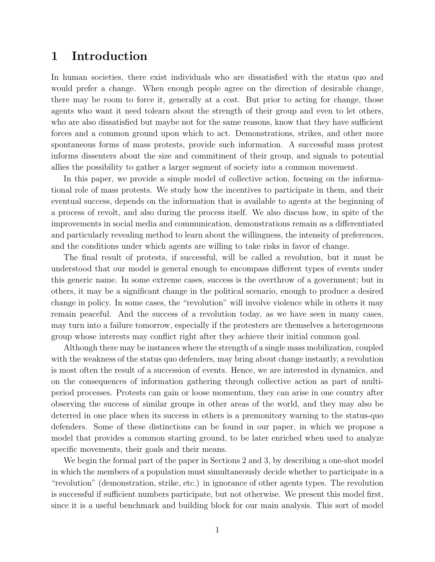### 1 Introduction

In human societies, there exist individuals who are dissatisfied with the status quo and would prefer a change. When enough people agree on the direction of desirable change, there may be room to force it, generally at a cost. But prior to acting for change, those agents who want it need tolearn about the strength of their group and even to let others, who are also dissatisfied but maybe not for the same reasons, know that they have sufficient forces and a common ground upon which to act. Demonstrations, strikes, and other more spontaneous forms of mass protests, provide such information. A successful mass protest informs dissenters about the size and commitment of their group, and signals to potential allies the possibility to gather a larger segment of society into a common movement.

In this paper, we provide a simple model of collective action, focusing on the informational role of mass protests. We study how the incentives to participate in them, and their eventual success, depends on the information that is available to agents at the beginning of a process of revolt, and also during the process itself. We also discuss how, in spite of the improvements in social media and communication, demonstrations remain as a differentiated and particularly revealing method to learn about the willingness, the intensity of preferences, and the conditions under which agents are willing to take risks in favor of change.

The final result of protests, if successful, will be called a revolution, but it must be understood that our model is general enough to encompass different types of events under this generic name. In some extreme cases, success is the overthrow of a government; but in others, it may be a significant change in the political scenario, enough to produce a desired change in policy. In some cases, the "revolution" will involve violence while in others it may remain peaceful. And the success of a revolution today, as we have seen in many cases, may turn into a failure tomorrow, especially if the protesters are themselves a heterogeneous group whose interests may conflict right after they achieve their initial common goal.

Although there may be instances where the strength of a single mass mobilization, coupled with the weakness of the status quo defenders, may bring about change instantly, a revolution is most often the result of a succession of events. Hence, we are interested in dynamics, and on the consequences of information gathering through collective action as part of multiperiod processes. Protests can gain or loose momentum, they can arise in one country after observing the success of similar groups in other areas of the world, and they may also be deterred in one place when its success in others is a premonitory warning to the status-quo defenders. Some of these distinctions can be found in our paper, in which we propose a model that provides a common starting ground, to be later enriched when used to analyze specific movements, their goals and their means.

We begin the formal part of the paper in Sections 2 and 3, by describing a one-shot model in which the members of a population must simultaneously decide whether to participate in a "revolution" (demonstration, strike, etc.) in ignorance of other agents types. The revolution is successful if sufficient numbers participate, but not otherwise. We present this model first, since it is a useful benchmark and building block for our main analysis. This sort of model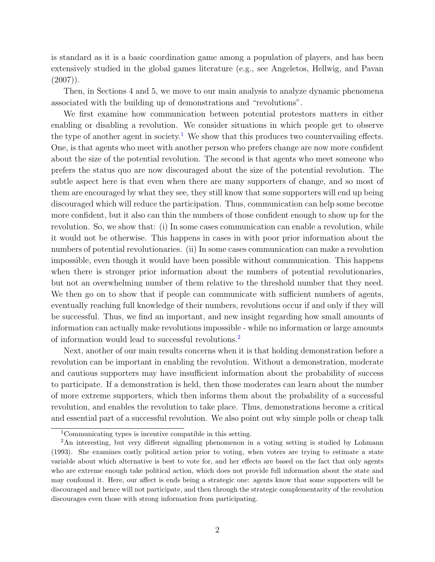is standard as it is a basic coordination game among a population of players, and has been extensively studied in the global games literature (e.g., see Angeletos, Hellwig, and Pavan  $(2007)$ .

Then, in Sections 4 and 5, we move to our main analysis to analyze dynamic phenomena associated with the building up of demonstrations and "revolutions".

We first examine how communication between potential protestors matters in either enabling or disabling a revolution. We consider situations in which people get to observe the type of another agent in society.<sup>[1](#page-2-0)</sup> We show that this produces two countervailing effects. One, is that agents who meet with another person who prefers change are now more confident about the size of the potential revolution. The second is that agents who meet someone who prefers the status quo are now discouraged about the size of the potential revolution. The subtle aspect here is that even when there are many supporters of change, and so most of them are encouraged by what they see, they still know that some supporters will end up being discouraged which will reduce the participation. Thus, communication can help some become more confident, but it also can thin the numbers of those confident enough to show up for the revolution. So, we show that: (i) In some cases communication can enable a revolution, while it would not be otherwise. This happens in cases in with poor prior information about the numbers of potential revolutionaries. (ii) In some cases communication can make a revolution impossible, even though it would have been possible without communication. This happens when there is stronger prior information about the numbers of potential revolutionaries, but not an overwhelming number of them relative to the threshold number that they need. We then go on to show that if people can communicate with sufficient numbers of agents, eventually reaching full knowledge of their numbers, revolutions occur if and only if they will be successful. Thus, we find an important, and new insight regarding how small amounts of information can actually make revolutions impossible - while no information or large amounts of information would lead to successful revolutions.[2](#page-2-1)

Next, another of our main results concerns when it is that holding demonstration before a revolution can be important in enabling the revolution. Without a demonstration, moderate and cautious supporters may have insufficient information about the probability of success to participate. If a demonstration is held, then those moderates can learn about the number of more extreme supporters, which then informs them about the probability of a successful revolution, and enables the revolution to take place. Thus, demonstrations become a critical and essential part of a successful revolution. We also point out why simple polls or cheap talk

<span id="page-2-1"></span><span id="page-2-0"></span><sup>1</sup>Communicating types is incentive compatible in this setting.

<sup>&</sup>lt;sup>2</sup>An interesting, but very different signalling phenomenon in a voting setting is studied by Lohmann (1993). She examines costly political action prior to voting, when voters are trying to estimate a state variable about which alternative is best to vote for, and her effects are based on the fact that only agents who are extreme enough take political action, which does not provide full information about the state and may confound it. Here, our affect is ends being a strategic one: agents know that some supporters will be discouraged and hence will not participate, and then through the strategic complementarity of the revolution discourages even those with strong information from participating.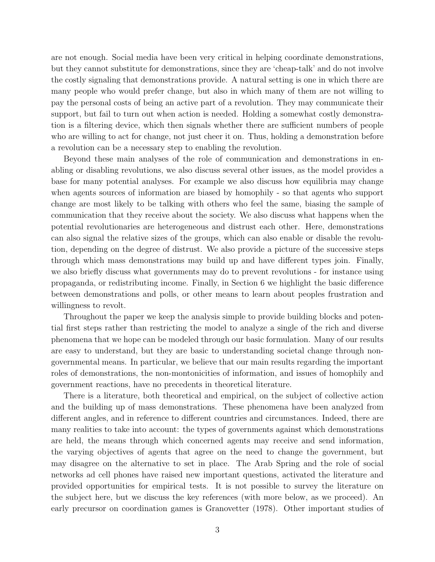are not enough. Social media have been very critical in helping coordinate demonstrations, but they cannot substitute for demonstrations, since they are 'cheap-talk' and do not involve the costly signaling that demonstrations provide. A natural setting is one in which there are many people who would prefer change, but also in which many of them are not willing to pay the personal costs of being an active part of a revolution. They may communicate their support, but fail to turn out when action is needed. Holding a somewhat costly demonstration is a filtering device, which then signals whether there are sufficient numbers of people who are willing to act for change, not just cheer it on. Thus, holding a demonstration before a revolution can be a necessary step to enabling the revolution.

Beyond these main analyses of the role of communication and demonstrations in enabling or disabling revolutions, we also discuss several other issues, as the model provides a base for many potential analyses. For example we also discuss how equilibria may change when agents sources of information are biased by homophily - so that agents who support change are most likely to be talking with others who feel the same, biasing the sample of communication that they receive about the society. We also discuss what happens when the potential revolutionaries are heterogeneous and distrust each other. Here, demonstrations can also signal the relative sizes of the groups, which can also enable or disable the revolution, depending on the degree of distrust. We also provide a picture of the successive steps through which mass demonstrations may build up and have different types join. Finally, we also briefly discuss what governments may do to prevent revolutions - for instance using propaganda, or redistributing income. Finally, in Section 6 we highlight the basic difference between demonstrations and polls, or other means to learn about peoples frustration and willingness to revolt.

Throughout the paper we keep the analysis simple to provide building blocks and potential first steps rather than restricting the model to analyze a single of the rich and diverse phenomena that we hope can be modeled through our basic formulation. Many of our results are easy to understand, but they are basic to understanding societal change through nongovernmental means. In particular, we believe that our main results regarding the important roles of demonstrations, the non-montonicities of information, and issues of homophily and government reactions, have no precedents in theoretical literature.

There is a literature, both theoretical and empirical, on the subject of collective action and the building up of mass demonstrations. These phenomena have been analyzed from different angles, and in reference to different countries and circumstances. Indeed, there are many realities to take into account: the types of governments against which demonstrations are held, the means through which concerned agents may receive and send information, the varying objectives of agents that agree on the need to change the government, but may disagree on the alternative to set in place. The Arab Spring and the role of social networks ad cell phones have raised new important questions, activated the literature and provided opportunities for empirical tests. It is not possible to survey the literature on the subject here, but we discuss the key references (with more below, as we proceed). An early precursor on coordination games is Granovetter (1978). Other important studies of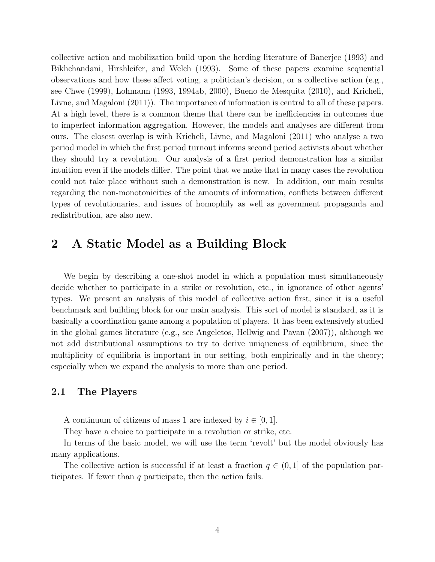collective action and mobilization build upon the herding literature of Banerjee (1993) and Bikhchandani, Hirshleifer, and Welch (1993). Some of these papers examine sequential observations and how these affect voting, a politician's decision, or a collective action (e.g., see Chwe (1999), Lohmann (1993, 1994ab, 2000), Bueno de Mesquita (2010), and Kricheli, Livne, and Magaloni (2011)). The importance of information is central to all of these papers. At a high level, there is a common theme that there can be inefficiencies in outcomes due to imperfect information aggregation. However, the models and analyses are different from ours. The closest overlap is with Kricheli, Livne, and Magaloni (2011) who analyse a two period model in which the first period turnout informs second period activists about whether they should try a revolution. Our analysis of a first period demonstration has a similar intuition even if the models differ. The point that we make that in many cases the revolution could not take place without such a demonstration is new. In addition, our main results regarding the non-monotonicities of the amounts of information, conflicts between different types of revolutionaries, and issues of homophily as well as government propaganda and redistribution, are also new.

## 2 A Static Model as a Building Block

We begin by describing a one-shot model in which a population must simultaneously decide whether to participate in a strike or revolution, etc., in ignorance of other agents' types. We present an analysis of this model of collective action first, since it is a useful benchmark and building block for our main analysis. This sort of model is standard, as it is basically a coordination game among a population of players. It has been extensively studied in the global games literature (e.g., see Angeletos, Hellwig and Pavan (2007)), although we not add distributional assumptions to try to derive uniqueness of equilibrium, since the multiplicity of equilibria is important in our setting, both empirically and in the theory; especially when we expand the analysis to more than one period.

#### 2.1 The Players

A continuum of citizens of mass 1 are indexed by  $i \in [0, 1]$ .

They have a choice to participate in a revolution or strike, etc.

In terms of the basic model, we will use the term 'revolt' but the model obviously has many applications.

The collective action is successful if at least a fraction  $q \in (0, 1]$  of the population participates. If fewer than q participate, then the action fails.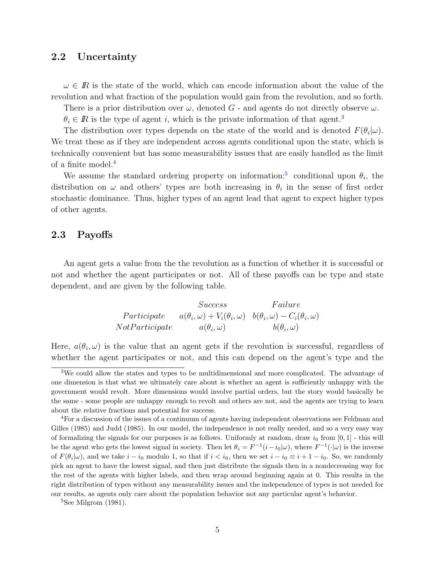#### 2.2 Uncertainty

 $\omega \in \mathbb{R}$  is the state of the world, which can encode information about the value of the revolution and what fraction of the population would gain from the revolution, and so forth.

There is a prior distribution over  $\omega$ , denoted G - and agents do not directly observe  $\omega$ .

 $\theta_i \in \mathbb{R}$  is the type of agent i, which is the private information of that agent.<sup>[3](#page-5-0)</sup>

The distribution over types depends on the state of the world and is denoted  $F(\theta_i|\omega)$ . We treat these as if they are independent across agents conditional upon the state, which is technically convenient but has some measurability issues that are easily handled as the limit of a finite model.[4](#page-5-1)

We assume the standard ordering property on information.<sup>[5](#page-5-2)</sup> conditional upon  $\theta_i$ , the distribution on  $\omega$  and others' types are both increasing in  $\theta_i$  in the sense of first order stochastic dominance. Thus, higher types of an agent lead that agent to expect higher types of other agents.

#### 2.3 Payoffs

An agent gets a value from the the revolution as a function of whether it is successful or not and whether the agent participates or not. All of these payoffs can be type and state dependent, and are given by the following table.

$$
Success \t Failure
$$
  
Participate  $a(\theta_i, \omega) + V_i(\theta_i, \omega) \t b(\theta_i, \omega) - C_i(\theta_i, \omega)$   
NotParticipate  $a(\theta_i, \omega)$   $b(\theta_i, \omega)$ 

Here,  $a(\theta_i, \omega)$  is the value that an agent gets if the revolution is successful, regardless of whether the agent participates or not, and this can depend on the agent's type and the

<span id="page-5-0"></span><sup>3</sup>We could allow the states and types to be multidimensional and more complicated. The advantage of one dimension is that what we ultimately care about is whether an agent is sufficiently unhappy with the government would revolt. More dimensions would involve partial orders, but the story would basically be the same - some people are unhappy enough to revolt and others are not, and the agents are trying to learn about the relative fractions and potential for success.

<span id="page-5-1"></span><sup>4</sup>For a discussion of the issues of a continuum of agents having independent observations see Feldman and Gilles (1985) and Judd (1985). In our model, the independence is not really needed, and so a very easy way of formalizing the signals for our purposes is as follows. Uniformly at random, draw  $i_0$  from  $[0, 1]$  - this will be the agent who gets the lowest signal in society. Then let  $\theta_i = F^{-1}(i - i_0|\omega)$ , where  $F^{-1}(\cdot|\omega)$  is the inverse of  $F(\theta_i|\omega)$ , and we take  $i - i_0$  modulo 1, so that if  $i < i_0$ , then we set  $i - i_0 \equiv i + 1 - i_0$ . So, we randomly pick an agent to have the lowest signal, and then just distribute the signals then in a nondecreasing way for the rest of the agents with higher labels, and then wrap around beginning again at 0. This results in the right distribution of types without any measurability issues and the independence of types is not needed for our results, as agents only care about the population behavior not any particular agent's behavior.

<span id="page-5-2"></span><sup>5</sup>See Milgrom (1981).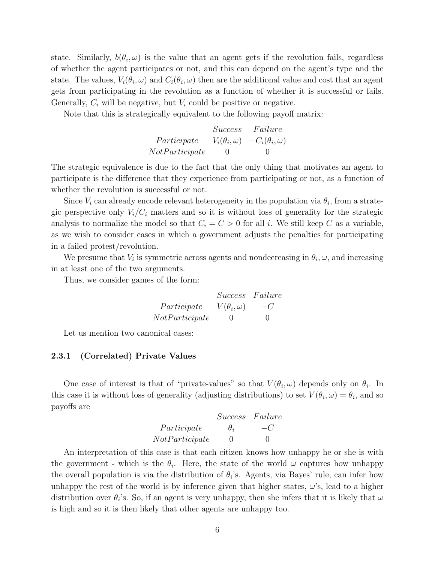state. Similarly,  $b(\theta_i, \omega)$  is the value that an agent gets if the revolution fails, regardless of whether the agent participates or not, and this can depend on the agent's type and the state. The values,  $V_i(\theta_i, \omega)$  and  $C_i(\theta_i, \omega)$  then are the additional value and cost that an agent gets from participating in the revolution as a function of whether it is successful or fails. Generally,  $C_i$  will be negative, but  $V_i$  could be positive or negative.

Note that this is strategically equivalent to the following payoff matrix:

|                | <i>Success</i> | Failure                                          |
|----------------|----------------|--------------------------------------------------|
| Participate    |                | $V_i(\theta_i, \omega)$ $-C_i(\theta_i, \omega)$ |
| NotParticipate | $\cup$         | $\cup$                                           |

The strategic equivalence is due to the fact that the only thing that motivates an agent to participate is the difference that they experience from participating or not, as a function of whether the revolution is successful or not.

Since  $V_i$  can already encode relevant heterogeneity in the population via  $\theta_i$ , from a strategic perspective only  $V_i/C_i$  matters and so it is without loss of generality for the strategic analysis to normalize the model so that  $C_i = C > 0$  for all i. We still keep C as a variable, as we wish to consider cases in which a government adjusts the penalties for participating in a failed protest/revolution.

We presume that  $V_i$  is symmetric across agents and nondecreasing in  $\theta_i$ ,  $\omega$ , and increasing in at least one of the two arguments.

Thus, we consider games of the form:

|                | Success Failure       |        |
|----------------|-----------------------|--------|
| Participate    | $V(\theta_i, \omega)$ | $-C$   |
| NotParticipate | $\cup$                | $\cup$ |

Let us mention two canonical cases:

#### 2.3.1 (Correlated) Private Values

One case of interest is that of "private-values" so that  $V(\theta_i, \omega)$  depends only on  $\theta_i$ . In this case it is without loss of generality (adjusting distributions) to set  $V(\theta_i, \omega) = \theta_i$ , and so payoffs are

| Success        | Failure    |    |
|----------------|------------|----|
| Participate    | $\theta_i$ | -C |
| NotParticipate | 0          | 0  |

An interpretation of this case is that each citizen knows how unhappy he or she is with the government - which is the  $\theta_i$ . Here, the state of the world  $\omega$  captures how unhappy the overall population is via the distribution of  $\theta_i$ 's. Agents, via Bayes' rule, can infer how unhappy the rest of the world is by inference given that higher states,  $\omega$ 's, lead to a higher distribution over  $\theta_i$ 's. So, if an agent is very unhappy, then she infers that it is likely that  $\omega$ is high and so it is then likely that other agents are unhappy too.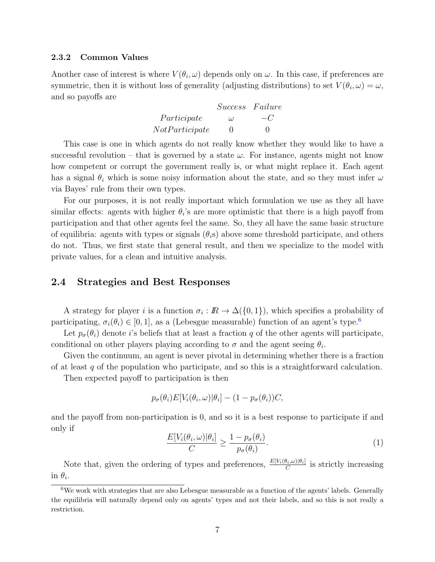#### 2.3.2 Common Values

Another case of interest is where  $V(\theta_i, \omega)$  depends only on  $\omega$ . In this case, if preferences are symmetric, then it is without loss of generality (adjusting distributions) to set  $V(\theta_i, \omega) = \omega$ , and so payoffs are

> Success Failure Participate  $\omega$  –C  $NotParticipate$  0 0

This case is one in which agents do not really know whether they would like to have a successful revolution – that is governed by a state  $\omega$ . For instance, agents might not know how competent or corrupt the government really is, or what might replace it. Each agent has a signal  $\theta_i$  which is some noisy information about the state, and so they must infer  $\omega$ via Bayes' rule from their own types.

For our purposes, it is not really important which formulation we use as they all have similar effects: agents with higher  $\theta_i$ 's are more optimistic that there is a high payoff from participation and that other agents feel the same. So, they all have the same basic structure of equilibria: agents with types or signals  $(\theta_i s)$  above some threshold participate, and others do not. Thus, we first state that general result, and then we specialize to the model with private values, for a clean and intuitive analysis.

#### 2.4 Strategies and Best Responses

A strategy for player *i* is a function  $\sigma_i : \mathbb{R} \to \Delta({0, 1})$ , which specifies a probability of participating,  $\sigma_i(\theta_i) \in [0, 1]$ , as a (Lebesgue measurable) function of an agent's type.<sup>[6](#page-7-0)</sup>

Let  $p_{\sigma}(\theta_i)$  denote *i*'s beliefs that at least a fraction q of the other agents will participate, conditional on other players playing according to  $\sigma$  and the agent seeing  $\theta_i$ .

Given the continuum, an agent is never pivotal in determining whether there is a fraction of at least  $q$  of the population who participate, and so this is a straightforward calculation.

Then expected payoff to participation is then

$$
p_{\sigma}(\theta_i)E[V_i(\theta_i,\omega)|\theta_i] - (1 - p_{\sigma}(\theta_i))C,
$$

and the payoff from non-participation is 0, and so it is a best response to participate if and only if

<span id="page-7-1"></span>
$$
\frac{E[V_i(\theta_i, \omega)|\theta_i]}{C} \ge \frac{1 - p_{\sigma}(\theta_i)}{p_{\sigma}(\theta_i)}.
$$
\n(1)

Note that, given the ordering of types and preferences,  $\frac{E[V_i(\theta_i,\omega)|\theta_i]}{C}$  is strictly increasing in  $\theta_i$ .

<span id="page-7-0"></span> $6$ We work with strategies that are also Lebesgue measurable as a function of the agents' labels. Generally the equilibria will naturally depend only on agents' types and not their labels, and so this is not really a restriction.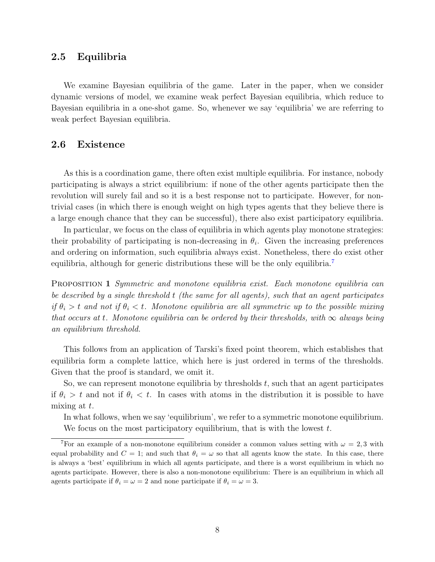#### 2.5 Equilibria

We examine Bayesian equilibria of the game. Later in the paper, when we consider dynamic versions of model, we examine weak perfect Bayesian equilibria, which reduce to Bayesian equilibria in a one-shot game. So, whenever we say 'equilibria' we are referring to weak perfect Bayesian equilibria.

#### 2.6 Existence

As this is a coordination game, there often exist multiple equilibria. For instance, nobody participating is always a strict equilibrium: if none of the other agents participate then the revolution will surely fail and so it is a best response not to participate. However, for nontrivial cases (in which there is enough weight on high types agents that they believe there is a large enough chance that they can be successful), there also exist participatory equilibria.

In particular, we focus on the class of equilibria in which agents play monotone strategies: their probability of participating is non-decreasing in  $\theta_i$ . Given the increasing preferences and ordering on information, such equilibria always exist. Nonetheless, there do exist other equilibria, although for generic distributions these will be the only equilibria.<sup>[7](#page-8-0)</sup>

PROPOSITION 1 Symmetric and monotone equilibria exist. Each monotone equilibria can be described by a single threshold  $t$  (the same for all agents), such that an agent participates if  $\theta_i > t$  and not if  $\theta_i < t$ . Monotone equilibria are all symmetric up to the possible mixing that occurs at t. Monotone equilibria can be ordered by their thresholds, with  $\infty$  always being an equilibrium threshold.

This follows from an application of Tarski's fixed point theorem, which establishes that equilibria form a complete lattice, which here is just ordered in terms of the thresholds. Given that the proof is standard, we omit it.

So, we can represent monotone equilibria by thresholds  $t$ , such that an agent participates if  $\theta_i > t$  and not if  $\theta_i < t$ . In cases with atoms in the distribution it is possible to have mixing at  $t$ .

In what follows, when we say 'equilibrium', we refer to a symmetric monotone equilibrium. We focus on the most participatory equilibrium, that is with the lowest  $t$ .

<span id="page-8-0"></span><sup>&</sup>lt;sup>7</sup>For an example of a non-monotone equilibrium consider a common values setting with  $\omega = 2, 3$  with equal probability and  $C = 1$ ; and such that  $\theta_i = \omega$  so that all agents know the state. In this case, there is always a 'best' equilibrium in which all agents participate, and there is a worst equilibrium in which no agents participate. However, there is also a non-monotone equilibrium: There is an equilibrium in which all agents participate if  $\theta_i = \omega = 2$  and none participate if  $\theta_i = \omega = 3$ .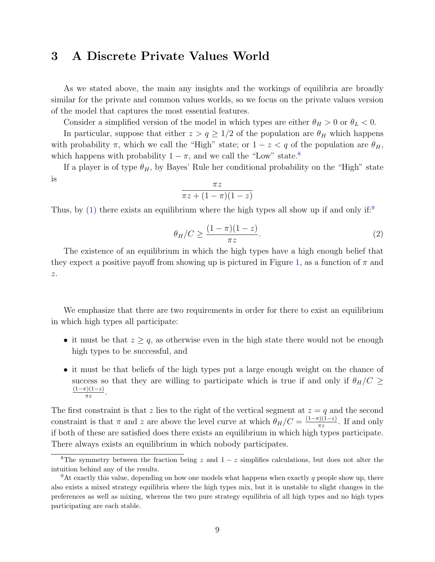## 3 A Discrete Private Values World

As we stated above, the main any insights and the workings of equilibria are broadly similar for the private and common values worlds, so we focus on the private values version of the model that captures the most essential features.

Consider a simplified version of the model in which types are either  $\theta_H > 0$  or  $\theta_L < 0$ .

In particular, suppose that either  $z > q \geq 1/2$  of the population are  $\theta_H$  which happens with probability  $\pi$ , which we call the "High" state; or  $1 - z < q$  of the population are  $\theta_H$ , which happens with probability  $1 - \pi$ , and we call the "Low" state.<sup>[8](#page-9-0)</sup>

If a player is of type  $\theta_H$ , by Bayes' Rule her conditional probability on the "High" state is

$$
\frac{\pi z}{\pi z + (1 - \pi)(1 - z)}
$$

Thus, by [\(1\)](#page-7-1) there exists an equilibrium where the high types all show up if and only if:

<span id="page-9-2"></span>
$$
\theta_H/C \ge \frac{(1-\pi)(1-z)}{\pi z}.\tag{2}
$$

The existence of an equilibrium in which the high types have a high enough belief that they expect a positive payoff from showing up is pictured in Figure [1,](#page-10-0) as a function of  $\pi$  and z.

We emphasize that there are two requirements in order for there to exist an equilibrium in which high types all participate:

- it must be that  $z \geq q$ , as otherwise even in the high state there would not be enough high types to be successful, and
- it must be that beliefs of the high types put a large enough weight on the chance of success so that they are willing to participate which is true if and only if  $\theta_H/C \geq$  $(1-\pi)(1-z)$  $\frac{\pi j(1-z)}{\pi z}$ .

The first constraint is that z lies to the right of the vertical segment at  $z = q$  and the second constraint is that  $\pi$  and z are above the level curve at which  $\theta_H/C = \frac{(1-\pi)(1-z)}{\pi z}$  $rac{\tau}{\pi z}$ . If and only if both of these are satisfied does there exists an equilibrium in which high types participate. There always exists an equilibrium in which nobody participates.

<span id="page-9-0"></span><sup>&</sup>lt;sup>8</sup>The symmetry between the fraction being z and  $1-z$  simplifies calculations, but does not alter the intuition behind any of the results.

<span id="page-9-1"></span><sup>&</sup>lt;sup>9</sup>At exactly this value, depending on how one models what happens when exactly q people show up, there also exists a mixed strategy equilibria where the high types mix, but it is unstable to slight changes in the preferences as well as mixing, whereas the two pure strategy equilibria of all high types and no high types participating are each stable.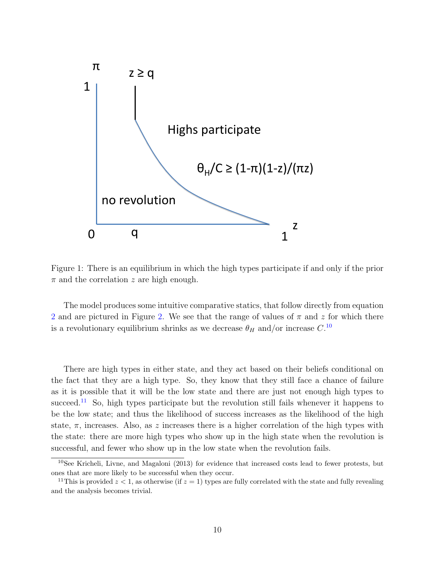<span id="page-10-0"></span>

Figure 1: There is an equilibrium in which the high types participate if and only if the prior  $\pi$  and the correlation z are high enough.

The model produces some intuitive comparative statics, that follow directly from equation [2](#page-9-2) and are pictured in Figure [2.](#page-11-0) We see that the range of values of  $\pi$  and z for which there is a revolutionary equilibrium shrinks as we decrease  $\theta_H$  and/or increase  $C$ .<sup>[10](#page-10-1)</sup>

There are high types in either state, and they act based on their beliefs conditional on the fact that they are a high type. So, they know that they still face a chance of failure as it is possible that it will be the low state and there are just not enough high types to succeed.<sup>[11](#page-10-2)</sup> So, high types participate but the revolution still fails whenever it happens to be the low state; and thus the likelihood of success increases as the likelihood of the high state,  $\pi$ , increases. Also, as z increases there is a higher correlation of the high types with the state: there are more high types who show up in the high state when the revolution is successful, and fewer who show up in the low state when the revolution fails.

<span id="page-10-1"></span><sup>10</sup>See Kricheli, Livne, and Magaloni (2013) for evidence that increased costs lead to fewer protests, but ones that are more likely to be successful when they occur.

<span id="page-10-2"></span><sup>&</sup>lt;sup>11</sup>This is provided  $z < 1$ , as otherwise (if  $z = 1$ ) types are fully correlated with the state and fully revealing and the analysis becomes trivial.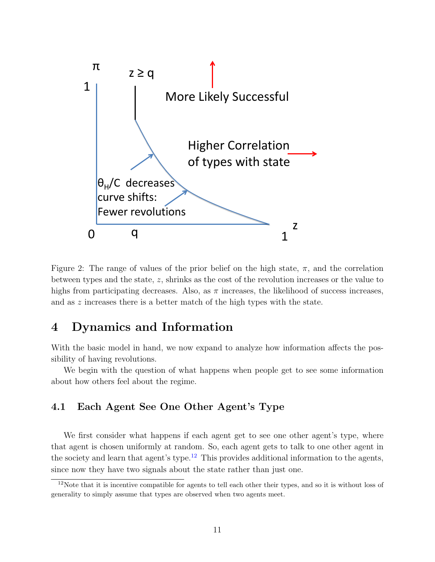<span id="page-11-0"></span>

Figure 2: The range of values of the prior belief on the high state,  $\pi$ , and the correlation between types and the state, z, shrinks as the cost of the revolution increases or the value to highs from participating decreases. Also, as  $\pi$  increases, the likelihood of success increases, and as z increases there is a better match of the high types with the state.

## 4 Dynamics and Information

With the basic model in hand, we now expand to analyze how information affects the possibility of having revolutions.

We begin with the question of what happens when people get to see some information about how others feel about the regime.

### 4.1 Each Agent See One Other Agent's Type

We first consider what happens if each agent get to see one other agent's type, where that agent is chosen uniformly at random. So, each agent gets to talk to one other agent in the society and learn that agent's type.<sup>[12](#page-11-1)</sup> This provides additional information to the agents, since now they have two signals about the state rather than just one.

<span id="page-11-1"></span><sup>&</sup>lt;sup>12</sup>Note that it is incentive compatible for agents to tell each other their types, and so it is without loss of generality to simply assume that types are observed when two agents meet.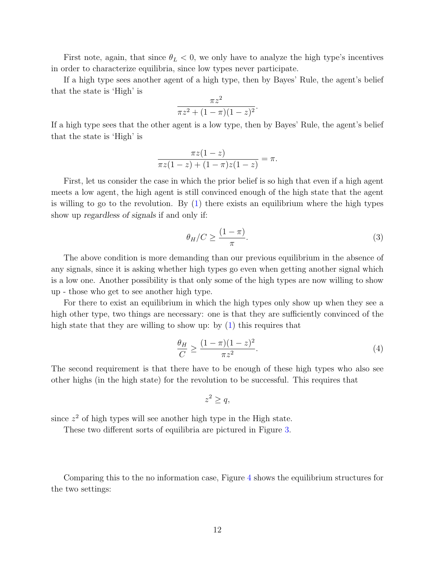First note, again, that since  $\theta_L < 0$ , we only have to analyze the high type's incentives in order to characterize equilibria, since low types never participate.

If a high type sees another agent of a high type, then by Bayes' Rule, the agent's belief that the state is 'High' is

$$
\frac{\pi z^2}{\pi z^2 + (1 - \pi)(1 - z)^2}
$$

.

If a high type sees that the other agent is a low type, then by Bayes' Rule, the agent's belief that the state is 'High' is

$$
\frac{\pi z(1-z)}{\pi z(1-z) + (1-\pi)z(1-z)} = \pi.
$$

First, let us consider the case in which the prior belief is so high that even if a high agent meets a low agent, the high agent is still convinced enough of the high state that the agent is willing to go to the revolution. By  $(1)$  there exists an equilibrium where the high types show up regardless of signals if and only if:

<span id="page-12-0"></span>
$$
\theta_H/C \ge \frac{(1-\pi)}{\pi}.\tag{3}
$$

The above condition is more demanding than our previous equilibrium in the absence of any signals, since it is asking whether high types go even when getting another signal which is a low one. Another possibility is that only some of the high types are now willing to show up - those who get to see another high type.

For there to exist an equilibrium in which the high types only show up when they see a high other type, two things are necessary: one is that they are sufficiently convinced of the high state that they are willing to show up: by  $(1)$  this requires that

<span id="page-12-1"></span>
$$
\frac{\theta_H}{C} \ge \frac{(1-\pi)(1-z)^2}{\pi z^2}.
$$
\n(4)

The second requirement is that there have to be enough of these high types who also see other highs (in the high state) for the revolution to be successful. This requires that

$$
z^2 \ge q,
$$

since  $z^2$  of high types will see another high type in the High state.

These two different sorts of equilibria are pictured in Figure [3.](#page-13-0)

Comparing this to the no information case, Figure [4](#page-14-0) shows the equilibrium structures for the two settings: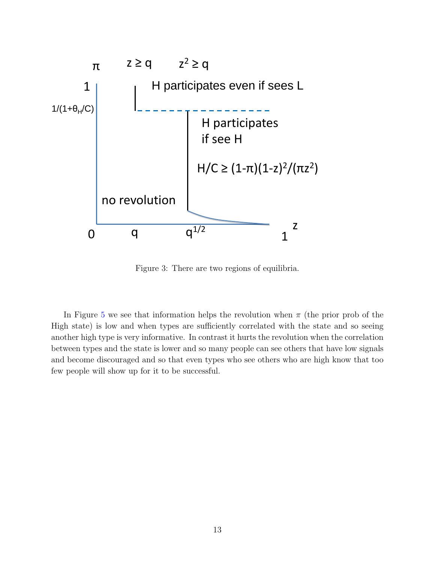<span id="page-13-0"></span>

Figure 3: There are two regions of equilibria.

In Figure [5](#page-15-0) we see that information helps the revolution when  $\pi$  (the prior prob of the High state) is low and when types are sufficiently correlated with the state and so seeing another high type is very informative. In contrast it hurts the revolution when the correlation between types and the state is lower and so many people can see others that have low signals and become discouraged and so that even types who see others who are high know that too few people will show up for it to be successful.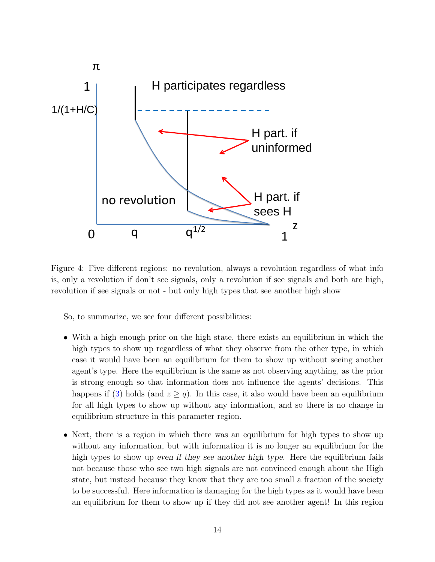<span id="page-14-0"></span>

Figure 4: Five different regions: no revolution, always a revolution regardless of what info is, only a revolution if don't see signals, only a revolution if see signals and both are high, revolution if see signals or not - but only high types that see another high show

So, to summarize, we see four different possibilities:

- With a high enough prior on the high state, there exists an equilibrium in which the high types to show up regardless of what they observe from the other type, in which case it would have been an equilibrium for them to show up without seeing another agent's type. Here the equilibrium is the same as not observing anything, as the prior is strong enough so that information does not influence the agents' decisions. This happens if [\(3\)](#page-12-0) holds (and  $z \ge q$ ). In this case, it also would have been an equilibrium for all high types to show up without any information, and so there is no change in equilibrium structure in this parameter region.
- Next, there is a region in which there was an equilibrium for high types to show up without any information, but with information it is no longer an equilibrium for the high types to show up even if they see another high type. Here the equilibrium fails not because those who see two high signals are not convinced enough about the High state, but instead because they know that they are too small a fraction of the society to be successful. Here information is damaging for the high types as it would have been an equilibrium for them to show up if they did not see another agent! In this region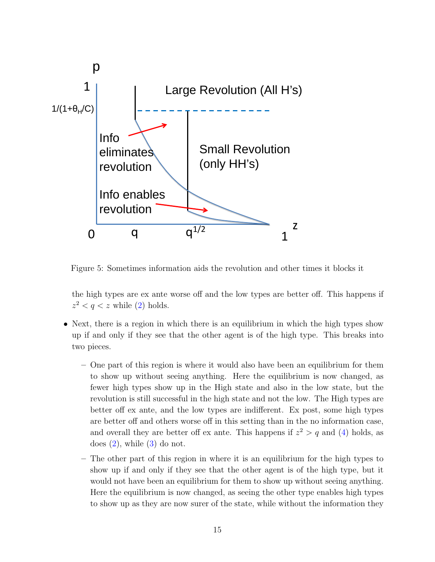<span id="page-15-0"></span>

Figure 5: Sometimes information aids the revolution and other times it blocks it

the high types are ex ante worse off and the low types are better off. This happens if  $z^2 < q < z$  while [\(2\)](#page-9-2) holds.

- Next, there is a region in which there is an equilibrium in which the high types show up if and only if they see that the other agent is of the high type. This breaks into two pieces.
	- One part of this region is where it would also have been an equilibrium for them to show up without seeing anything. Here the equilibrium is now changed, as fewer high types show up in the High state and also in the low state, but the revolution is still successful in the high state and not the low. The High types are better off ex ante, and the low types are indifferent. Ex post, some high types are better off and others worse off in this setting than in the no information case, and overall they are better off ex ante. This happens if  $z^2 > q$  and [\(4\)](#page-12-1) holds, as does  $(2)$ , while  $(3)$  do not.
	- The other part of this region in where it is an equilibrium for the high types to show up if and only if they see that the other agent is of the high type, but it would not have been an equilibrium for them to show up without seeing anything. Here the equilibrium is now changed, as seeing the other type enables high types to show up as they are now surer of the state, while without the information they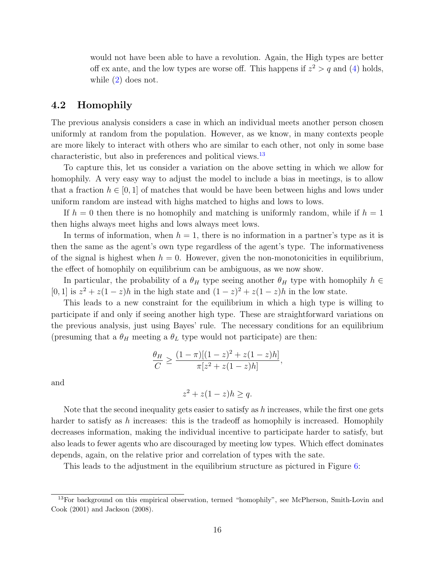would not have been able to have a revolution. Again, the High types are better off ex ante, and the low types are worse off. This happens if  $z^2 > q$  and [\(4\)](#page-12-1) holds, while  $(2)$  does not.

### 4.2 Homophily

The previous analysis considers a case in which an individual meets another person chosen uniformly at random from the population. However, as we know, in many contexts people are more likely to interact with others who are similar to each other, not only in some base characteristic, but also in preferences and political views.<sup>[13](#page-16-0)</sup>

To capture this, let us consider a variation on the above setting in which we allow for homophily. A very easy way to adjust the model to include a bias in meetings, is to allow that a fraction  $h \in [0, 1]$  of matches that would be have been between highs and lows under uniform random are instead with highs matched to highs and lows to lows.

If  $h = 0$  then there is no homophily and matching is uniformly random, while if  $h = 1$ then highs always meet highs and lows always meet lows.

In terms of information, when  $h = 1$ , there is no information in a partner's type as it is then the same as the agent's own type regardless of the agent's type. The informativeness of the signal is highest when  $h = 0$ . However, given the non-monotonicities in equilibrium, the effect of homophily on equilibrium can be ambiguous, as we now show.

In particular, the probability of a  $\theta_H$  type seeing another  $\theta_H$  type with homophily  $h \in$ [0, 1] is  $z^2 + z(1-z)h$  in the high state and  $(1-z)^2 + z(1-z)h$  in the low state.

This leads to a new constraint for the equilibrium in which a high type is willing to participate if and only if seeing another high type. These are straightforward variations on the previous analysis, just using Bayes' rule. The necessary conditions for an equilibrium (presuming that a  $\theta_H$  meeting a  $\theta_L$  type would not participate) are then:

$$
\frac{\theta_H}{C} \ge \frac{(1-\pi)[(1-z)^2 + z(1-z)h]}{\pi[z^2 + z(1-z)h]},
$$

and

$$
z^2 + z(1 - z)h \ge q.
$$

Note that the second inequality gets easier to satisfy as  $h$  increases, while the first one gets harder to satisfy as  $h$  increases: this is the tradeoff as homophily is increased. Homophily decreases information, making the individual incentive to participate harder to satisfy, but also leads to fewer agents who are discouraged by meeting low types. Which effect dominates depends, again, on the relative prior and correlation of types with the sate.

This leads to the adjustment in the equilibrium structure as pictured in Figure [6:](#page-17-0)

<span id="page-16-0"></span><sup>&</sup>lt;sup>13</sup>For background on this empirical observation, termed "homophily", see McPherson, Smith-Lovin and Cook (2001) and Jackson (2008).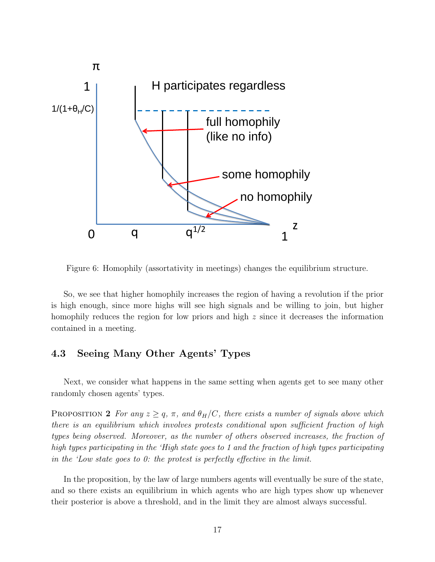<span id="page-17-0"></span>

Figure 6: Homophily (assortativity in meetings) changes the equilibrium structure.

So, we see that higher homophily increases the region of having a revolution if the prior is high enough, since more highs will see high signals and be willing to join, but higher homophily reduces the region for low priors and high z since it decreases the information contained in a meeting.

### 4.3 Seeing Many Other Agents' Types

Next, we consider what happens in the same setting when agents get to see many other randomly chosen agents' types.

<span id="page-17-1"></span>PROPOSITION 2 For any  $z \geq q$ ,  $\pi$ , and  $\theta_H/C$ , there exists a number of signals above which there is an equilibrium which involves protests conditional upon sufficient fraction of high types being observed. Moreover, as the number of others observed increases, the fraction of high types participating in the 'High state goes to 1 and the fraction of high types participating in the 'Low state goes to 0: the protest is perfectly effective in the limit.

In the proposition, by the law of large numbers agents will eventually be sure of the state, and so there exists an equilibrium in which agents who are high types show up whenever their posterior is above a threshold, and in the limit they are almost always successful.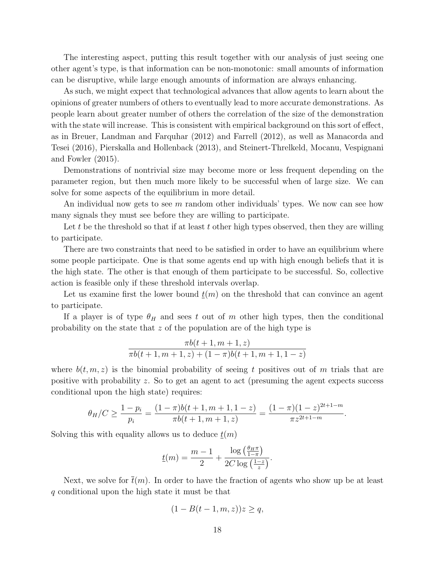The interesting aspect, putting this result together with our analysis of just seeing one other agent's type, is that information can be non-monotonic: small amounts of information can be disruptive, while large enough amounts of information are always enhancing.

As such, we might expect that technological advances that allow agents to learn about the opinions of greater numbers of others to eventually lead to more accurate demonstrations. As people learn about greater number of others the correlation of the size of the demonstration with the state will increase. This is consistent with empirical background on this sort of effect, as in Breuer, Landman and Farquhar (2012) and Farrell (2012), as well as Manacorda and Tesei (2016), Pierskalla and Hollenback (2013), and Steinert-Threlkeld, Mocanu, Vespignani and Fowler (2015).

Demonstrations of nontrivial size may become more or less frequent depending on the parameter region, but then much more likely to be successful when of large size. We can solve for some aspects of the equilibrium in more detail.

An individual now gets to see m random other individuals' types. We now can see how many signals they must see before they are willing to participate.

Let t be the threshold so that if at least t other high types observed, then they are willing to participate.

There are two constraints that need to be satisfied in order to have an equilibrium where some people participate. One is that some agents end up with high enough beliefs that it is the high state. The other is that enough of them participate to be successful. So, collective action is feasible only if these threshold intervals overlap.

Let us examine first the lower bound  $t(m)$  on the threshold that can convince an agent to participate.

If a player is of type  $\theta_H$  and sees t out of m other high types, then the conditional probability on the state that z of the population are of the high type is

$$
\frac{\pi b(t+1,m+1,z)}{\pi b(t+1,m+1,z)+(1-\pi)b(t+1,m+1,1-z)}
$$

where  $b(t, m, z)$  is the binomial probability of seeing t positives out of m trials that are positive with probability z. So to get an agent to act (presuming the agent expects success conditional upon the high state) requires:

$$
\theta_H/C \ge \frac{1-p_i}{p_i} = \frac{(1-\pi)b(t+1, m+1, 1-z)}{\pi b(t+1, m+1, z)} = \frac{(1-\pi)(1-z)^{2t+1-m}}{\pi z^{2t+1-m}}.
$$

Solving this with equality allows us to deduce  $t(m)$ 

$$
\underline{t}(m) = \frac{m-1}{2} + \frac{\log\left(\frac{\theta_H \pi}{1-\pi}\right)}{2C \log\left(\frac{1-z}{z}\right)}.
$$

Next, we solve for  $\bar{t}(m)$ . In order to have the fraction of agents who show up be at least q conditional upon the high state it must be that

$$
(1 - B(t - 1, m, z))z \ge q,
$$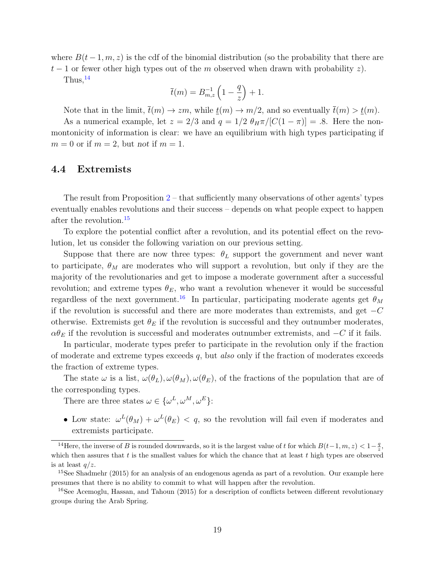where  $B(t-1, m, z)$  is the cdf of the binomial distribution (so the probability that there are  $t-1$  or fewer other high types out of the m observed when drawn with probability z).

Thus,  $^{14}$  $^{14}$  $^{14}$ 

$$
\overline{t}(m) = B_{m,z}^{-1} \left( 1 - \frac{q}{z} \right) + 1.
$$

Note that in the limit,  $\bar{t}(m) \to zm$ , while  $t(m) \to m/2$ , and so eventually  $\bar{t}(m) > t(m)$ .

As a numerical example, let  $z = 2/3$  and  $q = 1/2 \theta_H \pi/[C(1-\pi)] = .8$ . Here the nonmontonicity of information is clear: we have an equilibrium with high types participating if  $m = 0$  or if  $m = 2$ , but not if  $m = 1$ .

#### 4.4 Extremists

The result from Proposition  $2$  – that sufficiently many observations of other agents' types eventually enables revolutions and their success – depends on what people expect to happen after the revolution.<sup>[15](#page-19-1)</sup>

To explore the potential conflict after a revolution, and its potential effect on the revolution, let us consider the following variation on our previous setting.

Suppose that there are now three types:  $\theta_L$  support the government and never want to participate,  $\theta_M$  are moderates who will support a revolution, but only if they are the majority of the revolutionaries and get to impose a moderate government after a successful revolution; and extreme types  $\theta_E$ , who want a revolution whenever it would be successful regardless of the next government.<sup>[16](#page-19-2)</sup> In particular, participating moderate agents get  $\theta_M$ if the revolution is successful and there are more moderates than extremists, and get  $-C$ otherwise. Extremists get  $\theta_E$  if the revolution is successful and they outnumber moderates,  $\alpha \theta_E$  if the revolution is successful and moderates outnumber extremists, and  $-C$  if it fails.

In particular, moderate types prefer to participate in the revolution only if the fraction of moderate and extreme types exceeds  $q$ , but also only if the fraction of moderates exceeds the fraction of extreme types.

The state  $\omega$  is a list,  $\omega(\theta_L), \omega(\theta_M), \omega(\theta_E)$ , of the fractions of the population that are of the corresponding types.

There are three states  $\omega \in {\{\omega^L, \omega^M, \omega^E\}}$ :

• Low state:  $\omega^L(\theta_M) + \omega^L(\theta_E) < q$ , so the revolution will fail even if moderates and extremists participate.

<span id="page-19-0"></span><sup>&</sup>lt;sup>14</sup>Here, the inverse of B is rounded downwards, so it is the largest value of t for which  $B(t-1, m, z) < 1-\frac{q}{z}$ , which then assures that  $t$  is the smallest values for which the chance that at least  $t$  high types are observed is at least  $q/z$ .

<span id="page-19-1"></span><sup>&</sup>lt;sup>15</sup>See Shadmehr (2015) for an analysis of an endogenous agenda as part of a revolution. Our example here presumes that there is no ability to commit to what will happen after the revolution.

<span id="page-19-2"></span><sup>&</sup>lt;sup>16</sup>See Acemoglu, Hassan, and Tahoun (2015) for a description of conflicts between different revolutionary groups during the Arab Spring.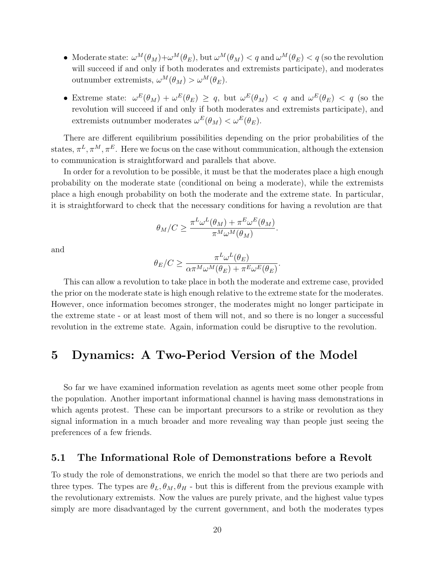- Moderate state:  $\omega^M(\theta_M) + \omega^M(\theta_E)$ , but  $\omega^M(\theta_M) < q$  and  $\omega^M(\theta_E) < q$  (so the revolution will succeed if and only if both moderates and extremists participate), and moderates outnumber extremists,  $\omega^M(\theta_M) > \omega^M(\theta_E)$ .
- Extreme state:  $\omega^E(\theta_M) + \omega^E(\theta_E) \geq q$ , but  $\omega^E(\theta_M) < q$  and  $\omega^E(\theta_E) < q$  (so the revolution will succeed if and only if both moderates and extremists participate), and extremists outnumber moderates  $\omega^{E}(\theta_M) < \omega^{E}(\theta_E)$ .

There are different equilibrium possibilities depending on the prior probabilities of the states,  $\pi^L, \pi^M, \pi^E$ . Here we focus on the case without communication, although the extension to communication is straightforward and parallels that above.

In order for a revolution to be possible, it must be that the moderates place a high enough probability on the moderate state (conditional on being a moderate), while the extremists place a high enough probability on both the moderate and the extreme state. In particular, it is straightforward to check that the necessary conditions for having a revolution are that

$$
\theta_M/C \ge \frac{\pi^L \omega^L(\theta_M) + \pi^E \omega^E(\theta_M)}{\pi^M \omega^M(\theta_M)}.
$$

and

$$
\theta_E/C \ge \frac{\pi^L \omega^L(\theta_E)}{\alpha \pi^M \omega^M(\theta_E) + \pi^E \omega^E(\theta_E)}.
$$

This can allow a revolution to take place in both the moderate and extreme case, provided the prior on the moderate state is high enough relative to the extreme state for the moderates. However, once information becomes stronger, the moderates might no longer participate in the extreme state - or at least most of them will not, and so there is no longer a successful revolution in the extreme state. Again, information could be disruptive to the revolution.

### 5 Dynamics: A Two-Period Version of the Model

So far we have examined information revelation as agents meet some other people from the population. Another important informational channel is having mass demonstrations in which agents protest. These can be important precursors to a strike or revolution as they signal information in a much broader and more revealing way than people just seeing the preferences of a few friends.

#### 5.1 The Informational Role of Demonstrations before a Revolt

To study the role of demonstrations, we enrich the model so that there are two periods and three types. The types are  $\theta_L, \theta_M, \theta_H$  - but this is different from the previous example with the revolutionary extremists. Now the values are purely private, and the highest value types simply are more disadvantaged by the current government, and both the moderates types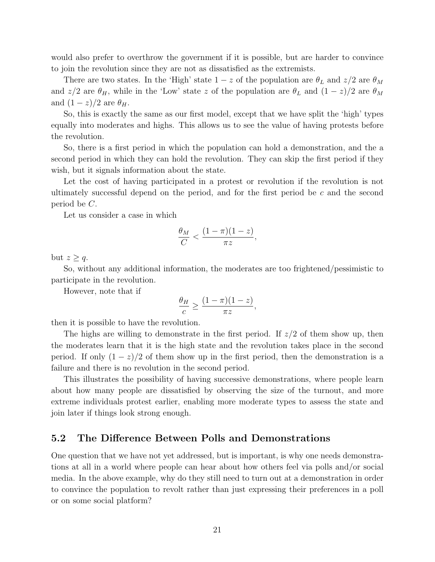would also prefer to overthrow the government if it is possible, but are harder to convince to join the revolution since they are not as dissatisfied as the extremists.

There are two states. In the 'High' state  $1-z$  of the population are  $\theta_L$  and  $z/2$  are  $\theta_M$ and  $z/2$  are  $\theta_H$ , while in the 'Low' state z of the population are  $\theta_L$  and  $(1-z)/2$  are  $\theta_M$ and  $(1-z)/2$  are  $\theta_H$ .

So, this is exactly the same as our first model, except that we have split the 'high' types equally into moderates and highs. This allows us to see the value of having protests before the revolution.

So, there is a first period in which the population can hold a demonstration, and the a second period in which they can hold the revolution. They can skip the first period if they wish, but it signals information about the state.

Let the cost of having participated in a protest or revolution if the revolution is not ultimately successful depend on the period, and for the first period be  $c$  and the second period be C.

Let us consider a case in which

$$
\frac{\theta_M}{C} < \frac{(1-\pi)(1-z)}{\pi z},
$$

but  $z \geq q$ .

So, without any additional information, the moderates are too frightened/pessimistic to participate in the revolution.

However, note that if

$$
\frac{\theta_H}{c} \ge \frac{(1-\pi)(1-z)}{\pi z},
$$

then it is possible to have the revolution.

The highs are willing to demonstrate in the first period. If  $z/2$  of them show up, then the moderates learn that it is the high state and the revolution takes place in the second period. If only  $(1-z)/2$  of them show up in the first period, then the demonstration is a failure and there is no revolution in the second period.

This illustrates the possibility of having successive demonstrations, where people learn about how many people are dissatisfied by observing the size of the turnout, and more extreme individuals protest earlier, enabling more moderate types to assess the state and join later if things look strong enough.

#### 5.2 The Difference Between Polls and Demonstrations

One question that we have not yet addressed, but is important, is why one needs demonstrations at all in a world where people can hear about how others feel via polls and/or social media. In the above example, why do they still need to turn out at a demonstration in order to convince the population to revolt rather than just expressing their preferences in a poll or on some social platform?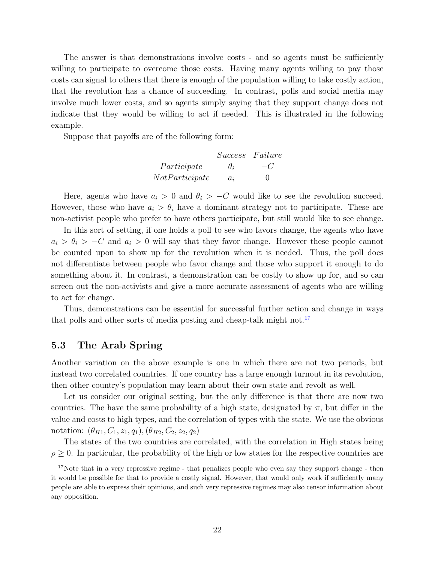The answer is that demonstrations involve costs - and so agents must be sufficiently willing to participate to overcome those costs. Having many agents willing to pay those costs can signal to others that there is enough of the population willing to take costly action, that the revolution has a chance of succeeding. In contrast, polls and social media may involve much lower costs, and so agents simply saying that they support change does not indicate that they would be willing to act if needed. This is illustrated in the following example.

Suppose that payoffs are of the following form:

|                | Success Failure |              |
|----------------|-----------------|--------------|
| Participate    | $\theta_i$      | $-C$         |
| NotParticipate | $a_i$           | $\mathbf{0}$ |

Here, agents who have  $a_i > 0$  and  $\theta_i > -C$  would like to see the revolution succeed. However, those who have  $a_i > \theta_i$  have a dominant strategy not to participate. These are non-activist people who prefer to have others participate, but still would like to see change.

In this sort of setting, if one holds a poll to see who favors change, the agents who have  $a_i > \theta_i > -C$  and  $a_i > 0$  will say that they favor change. However these people cannot be counted upon to show up for the revolution when it is needed. Thus, the poll does not differentiate between people who favor change and those who support it enough to do something about it. In contrast, a demonstration can be costly to show up for, and so can screen out the non-activists and give a more accurate assessment of agents who are willing to act for change.

Thus, demonstrations can be essential for successful further action and change in ways that polls and other sorts of media posting and cheap-talk might not.<sup>[17](#page-22-0)</sup>

### 5.3 The Arab Spring

Another variation on the above example is one in which there are not two periods, but instead two correlated countries. If one country has a large enough turnout in its revolution, then other country's population may learn about their own state and revolt as well.

Let us consider our original setting, but the only difference is that there are now two countries. The have the same probability of a high state, designated by  $\pi$ , but differ in the value and costs to high types, and the correlation of types with the state. We use the obvious notation:  $(\theta_{H1}, C_1, z_1, q_1), (\theta_{H2}, C_2, z_2, q_2)$ 

The states of the two countries are correlated, with the correlation in High states being  $\rho > 0$ . In particular, the probability of the high or low states for the respective countries are

<span id="page-22-0"></span> $17$ Note that in a very repressive regime - that penalizes people who even say they support change - then it would be possible for that to provide a costly signal. However, that would only work if sufficiently many people are able to express their opinions, and such very repressive regimes may also censor information about any opposition.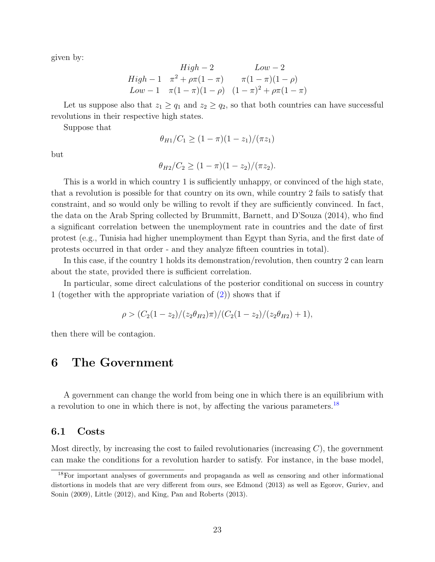given by:

$$
High - 2 \qquad Low - 2
$$
  
High - 1  $\pi^2 + \rho \pi (1 - \pi)$   $\pi (1 - \pi)(1 - \rho)$   
Low - 1  $\pi (1 - \pi)(1 - \rho)$   $(1 - \pi)^2 + \rho \pi (1 - \pi)$ 

Let us suppose also that  $z_1 \ge q_1$  and  $z_2 \ge q_2$ , so that both countries can have successful revolutions in their respective high states.

Suppose that

$$
\theta_{H1}/C_1 \ge (1 - \pi)(1 - z_1)/(\pi z_1)
$$

but

$$
\theta_{H2}/C_2 \ge (1-\pi)(1-z_2)/(\pi z_2).
$$

This is a world in which country 1 is sufficiently unhappy, or convinced of the high state, that a revolution is possible for that country on its own, while country 2 fails to satisfy that constraint, and so would only be willing to revolt if they are sufficiently convinced. In fact, the data on the Arab Spring collected by Brummitt, Barnett, and D'Souza (2014), who find a significant correlation between the unemployment rate in countries and the date of first protest (e.g., Tunisia had higher unemployment than Egypt than Syria, and the first date of protests occurred in that order - and they analyze fifteen countries in total).

In this case, if the country 1 holds its demonstration/revolution, then country 2 can learn about the state, provided there is sufficient correlation.

In particular, some direct calculations of the posterior conditional on success in country 1 (together with the appropriate variation of [\(2\)](#page-9-2)) shows that if

$$
\rho > (C_2(1-z_2)/(z_2\theta_{H2})\pi)/(C_2(1-z_2)/(z_2\theta_{H2})+1),
$$

then there will be contagion.

### 6 The Government

A government can change the world from being one in which there is an equilibrium with a revolution to one in which there is not, by affecting the various parameters.<sup>[18](#page-23-0)</sup>

#### 6.1 Costs

Most directly, by increasing the cost to failed revolutionaries (increasing  $C$ ), the government can make the conditions for a revolution harder to satisfy. For instance, in the base model,

<span id="page-23-0"></span><sup>18</sup>For important analyses of governments and propaganda as well as censoring and other informational distortions in models that are very different from ours, see Edmond (2013) as well as Egorov, Guriev, and Sonin (2009), Little (2012), and King, Pan and Roberts (2013).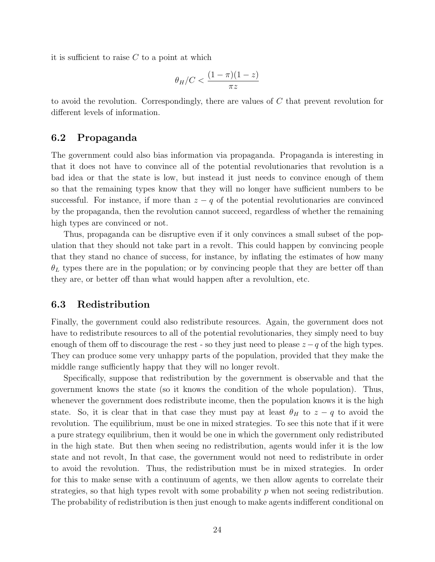it is sufficient to raise  $C$  to a point at which

$$
\theta_H/C < \frac{(1-\pi)(1-z)}{\pi z}
$$

to avoid the revolution. Correspondingly, there are values of C that prevent revolution for different levels of information.

### 6.2 Propaganda

The government could also bias information via propaganda. Propaganda is interesting in that it does not have to convince all of the potential revolutionaries that revolution is a bad idea or that the state is low, but instead it just needs to convince enough of them so that the remaining types know that they will no longer have sufficient numbers to be successful. For instance, if more than  $z - q$  of the potential revolutionaries are convinced by the propaganda, then the revolution cannot succeed, regardless of whether the remaining high types are convinced or not.

Thus, propaganda can be disruptive even if it only convinces a small subset of the population that they should not take part in a revolt. This could happen by convincing people that they stand no chance of success, for instance, by inflating the estimates of how many  $\theta_L$  types there are in the population; or by convincing people that they are better off than they are, or better off than what would happen after a revolultion, etc.

#### 6.3 Redistribution

Finally, the government could also redistribute resources. Again, the government does not have to redistribute resources to all of the potential revolutionaries, they simply need to buy enough of them off to discourage the rest - so they just need to please  $z - q$  of the high types. They can produce some very unhappy parts of the population, provided that they make the middle range sufficiently happy that they will no longer revolt.

Specifically, suppose that redistribution by the government is observable and that the government knows the state (so it knows the condition of the whole population). Thus, whenever the government does redistribute income, then the population knows it is the high state. So, it is clear that in that case they must pay at least  $\theta_H$  to  $z - q$  to avoid the revolution. The equilibrium, must be one in mixed strategies. To see this note that if it were a pure strategy equilibrium, then it would be one in which the government only redistributed in the high state. But then when seeing no redistribution, agents would infer it is the low state and not revolt, In that case, the government would not need to redistribute in order to avoid the revolution. Thus, the redistribution must be in mixed strategies. In order for this to make sense with a continuum of agents, we then allow agents to correlate their strategies, so that high types revolt with some probability  $p$  when not seeing redistribution. The probability of redistribution is then just enough to make agents indifferent conditional on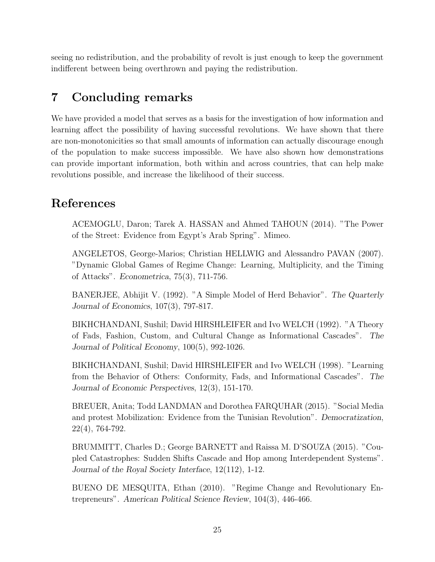seeing no redistribution, and the probability of revolt is just enough to keep the government indifferent between being overthrown and paying the redistribution.

# 7 Concluding remarks

We have provided a model that serves as a basis for the investigation of how information and learning affect the possibility of having successful revolutions. We have shown that there are non-monotonicities so that small amounts of information can actually discourage enough of the population to make success impossible. We have also shown how demonstrations can provide important information, both within and across countries, that can help make revolutions possible, and increase the likelihood of their success.

# References

ACEMOGLU, Daron; Tarek A. HASSAN and Ahmed TAHOUN (2014). "The Power of the Street: Evidence from Egypt's Arab Spring". Mimeo.

ANGELETOS, George-Marios; Christian HELLWIG and Alessandro PAVAN (2007). "Dynamic Global Games of Regime Change: Learning, Multiplicity, and the Timing of Attacks". Econometrica, 75(3), 711-756.

BANERJEE, Abhijit V. (1992). "A Simple Model of Herd Behavior". The Quarterly Journal of Economics, 107(3), 797-817.

BIKHCHANDANI, Sushil; David HIRSHLEIFER and Ivo WELCH (1992). "A Theory of Fads, Fashion, Custom, and Cultural Change as Informational Cascades". The Journal of Political Economy, 100(5), 992-1026.

BIKHCHANDANI, Sushil; David HIRSHLEIFER and Ivo WELCH (1998). "Learning from the Behavior of Others: Conformity, Fads, and Informational Cascades". The Journal of Economic Perspectives, 12(3), 151-170.

BREUER, Anita; Todd LANDMAN and Dorothea FARQUHAR (2015). "Social Media and protest Mobilization: Evidence from the Tunisian Revolution". Democratization, 22(4), 764-792.

BRUMMITT, Charles D.; George BARNETT and Raissa M. D'SOUZA (2015). "Coupled Catastrophes: Sudden Shifts Cascade and Hop among Interdependent Systems". Journal of the Royal Society Interface, 12(112), 1-12.

BUENO DE MESQUITA, Ethan (2010). "Regime Change and Revolutionary Entrepreneurs". American Political Science Review, 104(3), 446-466.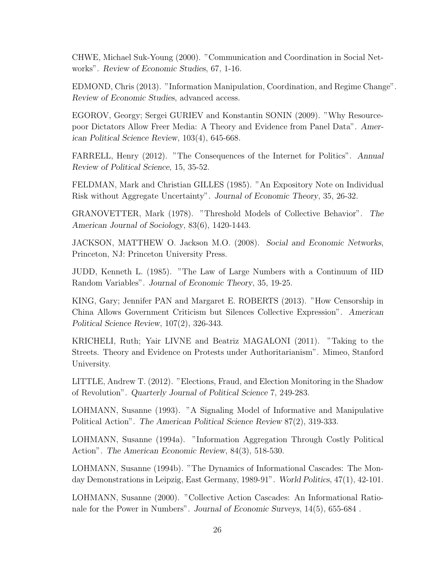CHWE, Michael Suk-Young (2000). "Communication and Coordination in Social Networks". Review of Economic Studies, 67, 1-16.

EDMOND, Chris (2013). "Information Manipulation, Coordination, and Regime Change". Review of Economic Studies, advanced access.

EGOROV, Georgy; Sergei GURIEV and Konstantin SONIN (2009). "Why Resourcepoor Dictators Allow Freer Media: A Theory and Evidence from Panel Data". American Political Science Review, 103(4), 645-668.

FARRELL, Henry (2012). "The Consequences of the Internet for Politics". Annual Review of Political Science, 15, 35-52.

FELDMAN, Mark and Christian GILLES (1985). "An Expository Note on Individual Risk without Aggregate Uncertainty". Journal of Economic Theory, 35, 26-32.

GRANOVETTER, Mark (1978). "Threshold Models of Collective Behavior". The American Journal of Sociology, 83(6), 1420-1443.

JACKSON, MATTHEW O. Jackson M.O. (2008). Social and Economic Networks, Princeton, NJ: Princeton University Press.

JUDD, Kenneth L. (1985). "The Law of Large Numbers with a Continuum of IID Random Variables". Journal of Economic Theory, 35, 19-25.

KING, Gary; Jennifer PAN and Margaret E. ROBERTS (2013). "How Censorship in China Allows Government Criticism but Silences Collective Expression". American Political Science Review, 107(2), 326-343.

KRICHELI, Ruth; Yair LIVNE and Beatriz MAGALONI (2011). "Taking to the Streets. Theory and Evidence on Protests under Authoritarianism". Mimeo, Stanford University.

LITTLE, Andrew T. (2012). "Elections, Fraud, and Election Monitoring in the Shadow of Revolution". Quarterly Journal of Political Science 7, 249-283.

LOHMANN, Susanne (1993). "A Signaling Model of Informative and Manipulative Political Action". The American Political Science Review 87(2), 319-333.

LOHMANN, Susanne (1994a). "Information Aggregation Through Costly Political Action". The American Economic Review, 84(3), 518-530.

LOHMANN, Susanne (1994b). "The Dynamics of Informational Cascades: The Monday Demonstrations in Leipzig, East Germany, 1989-91". World Politics, 47(1), 42-101.

LOHMANN, Susanne (2000). "Collective Action Cascades: An Informational Rationale for the Power in Numbers". Journal of Economic Surveys, 14(5), 655-684 .